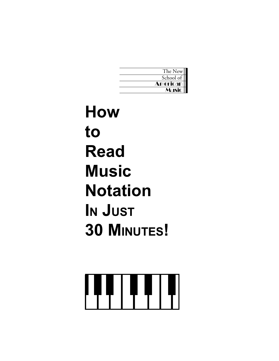| The New         |
|-----------------|
| School of       |
| <b>American</b> |
| ाधंट            |

**How to Read Music Notation IN JUST 30 MINUTES!**

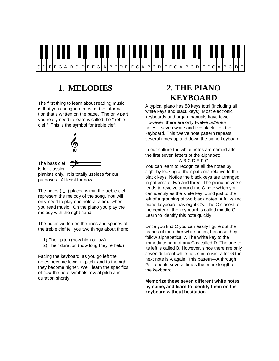

### **1. MELODIES**

The first thing to learn about reading music is that you can ignore most of the information that's written on the page. The only part you really need to learn is called the "treble clef." This is the symbol for treble clef:





is for classical

is for classical Zarra <u>Commenances</u><br>pianists only. It is totally useless for our purposes. At least for now.

The notes  $\left( \right)$  ) placed within the treble clef represent the melody of the song. You will only need to play one note at a time when you read music. On the piano you play the melody with the right hand.

The notes written on the lines and spaces of the treble clef tell you two things about them:

- 1) Their pitch (how high or low)
- 2) Their duration (how long they're held)

Facing the keyboard, as you go left the notes become lower in pitch, and to the right they become higher. We'll learn the specifics of how the note symbols reveal pitch and duration shortly.

# **2. THE PIANO KEYBOARD**

A typical piano has 88 keys total (including all white keys and black keys). Most electronic keyboards and organ manuals have fewer. However, there are only twelve *different* notes—seven white and five black—on the keyboard. This twelve note pattern repeats several times up and down the piano keyboard.

In our culture the white notes are named after the first seven letters of the alphabet: A B C D E F G

You can learn to recognize all the notes by sight by looking at their patterns relative to the black keys. Notice the black keys are arranged in patterns of two and three. The piano universe tends to revolve around the C note which you can identify as the white key found just to the left of a grouping of two black notes. A full-sized piano keyboard has eight C's. The C closest to the center of the keyboard is called middle C. Learn to identify this note quickly.

Once you find C you can easily figure out the names of the other white notes, because they follow alphabetically. The white key to the immediate right of any C is called D. The one to its left is called B. However, since there are only seven different white notes in music, after G the next note is A again. This pattern—A through G—repeats several times the entire length of the keyboard.

**Memorize these seven different white notes by name, and learn to identify them on the keyboard without hesitation.**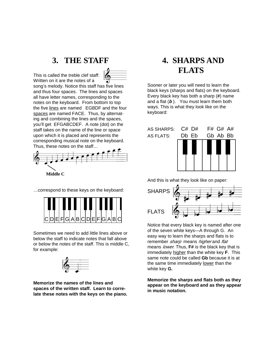#### **3. THE STAFF**

This is called the treble clef staff: Written on it are the notes of a song's melody. Notice this staff has five lines and thus four spaces. The lines and spaces all have letter names, corresponding to the notes on the keyboard. From bottom to top the five lines are named EGBDF and the four spaces are named FACE. Thus, by alternating and combining the lines and the spaces, you'll get EFGABCDEF. A note (dot) on the staff takes on the name of the line or space upon which it is placed and represents the corresponding musical note on the keyboard. Thus, these notes on the staff…  $\bullet =$ 



…correspond to these keys on the keyboard:



Sometimes we need to add little lines above or below the staff to indicate notes that fall above or below the notes of the staff. This is middle C, for example:



**Memorize the names of the lines and spaces of the written staff. Learn to correlate these notes with the keys on the piano.**

## **4. SHARPS AND FLATS**

Sooner or later you will need to learn the black keys (sharps and flats) on the keyboard. Every black key has both a sharp (**#**) name and a flat (**b** ). You must learn them both ways. This is what they look like on the keyboard:



And this is what they look like on paper:



Notice that every black key is named after one of the seven white keys—A through G. An easy way to learn the sharps and flats is to remember sharp means higher and flat means lower. Thus, **F#** is the black key that is immediately higher than the white key **F**. This same note could be called **Gb** because it is at the same time immediately lower than the white key **G.**

**Memorize the sharps and flats both as they appear on the keyboard and as they appear in music notation.**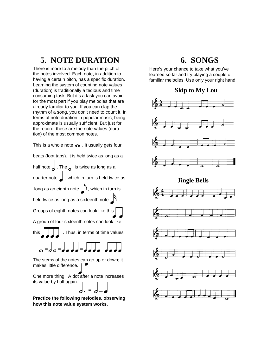### **5. NOTE DURATION**

There is more to a melody than the pitch of the notes involved. Each note, in addition to having a certain pitch, has a specific duration. Learning the system of counting note values (duration) is traditionally a tedious and time consuming task. But it's a task you can avoid for the most part if you play melodies that are already familiar to you. If you can clap the rhythm of a song, you don't need to count it. In terms of note duration in popular music, being approximate is usually sufficient. But just for the record, these are the note values (duration) of the most common notes.

This is a whole note  $\bullet$  . It usually gets four

beats (foot taps). It is held twice as long as a

half note  $\int$  . The  $\int$  is twice as long as a

quarter note  $\int$  , which in turn is held twice as

long as an eighth note  $\Box$ ), which in turn is

held twice as long as a sixteenth note  $\bigcap$ .

Groups of eighth notes can look like this  $\left[$ 

A group of four sixteenth notes can look like

. Thus, in terms of time values this  $\vert \vert \vert \vert$ 

 $\mathbf{o} = d d = d d d = d d d d d$ 

The stems of the notes can go up or down; it Q makes little difference. |

One more thing. A dot after a note increases q its value by half again.

 $d \cdot = d + q$ 

**Practice the following melodies, observing how this note value system works.**

#### **6. SONGS**

Here's your chance to take what you've learned so far and try playing a couple of familiar melodies. Use only your right hand.